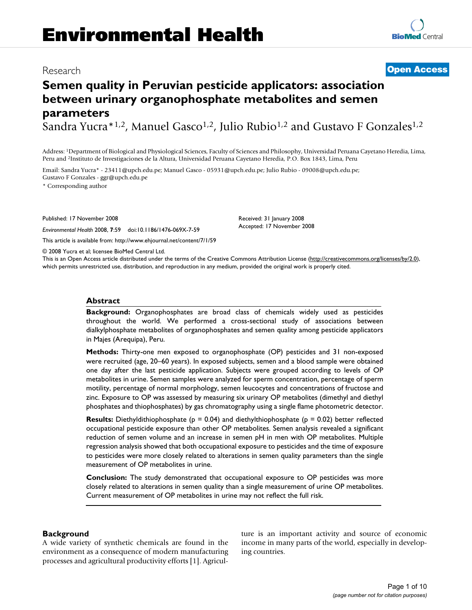# Research **[Open Access](http://www.biomedcentral.com/info/about/charter/)**

# **Semen quality in Peruvian pesticide applicators: association between urinary organophosphate metabolites and semen parameters**

Sandra Yucra\*<sup>1,2</sup>, Manuel Gasco<sup>1,2</sup>, Julio Rubio<sup>1,2</sup> and Gustavo F Gonzales<sup>1,2</sup>

Address: 1Department of Biological and Physiological Sciences, Faculty of Sciences and Philosophy, Universidad Peruana Cayetano Heredia, Lima, Peru and 2Instituto de Investigaciones de la Altura, Universidad Peruana Cayetano Heredia, P.O. Box 1843, Lima, Peru

Email: Sandra Yucra\* - 23411@upch.edu.pe; Manuel Gasco - 05931@upch.edu.pe; Julio Rubio - 09008@upch.edu.pe; Gustavo F Gonzales - ggr@upch.edu.pe

\* Corresponding author

Published: 17 November 2008

*Environmental Health* 2008, **7**:59 doi:10.1186/1476-069X-7-59

[This article is available from: http://www.ehjournal.net/content/7/1/59](http://www.ehjournal.net/content/7/1/59)

© 2008 Yucra et al; licensee BioMed Central Ltd.

This is an Open Access article distributed under the terms of the Creative Commons Attribution License [\(http://creativecommons.org/licenses/by/2.0\)](http://creativecommons.org/licenses/by/2.0), which permits unrestricted use, distribution, and reproduction in any medium, provided the original work is properly cited.

Received: 31 January 2008 Accepted: 17 November 2008

#### **Abstract**

**Background:** Organophosphates are broad class of chemicals widely used as pesticides throughout the world. We performed a cross-sectional study of associations between dialkylphosphate metabolites of organophosphates and semen quality among pesticide applicators in Majes (Arequipa), Peru.

**Methods:** Thirty-one men exposed to organophosphate (OP) pesticides and 31 non-exposed were recruited (age, 20–60 years). In exposed subjects, semen and a blood sample were obtained one day after the last pesticide application. Subjects were grouped according to levels of OP metabolites in urine. Semen samples were analyzed for sperm concentration, percentage of sperm motility, percentage of normal morphology, semen leucocytes and concentrations of fructose and zinc. Exposure to OP was assessed by measuring six urinary OP metabolites (dimethyl and diethyl phosphates and thiophosphates) by gas chromatography using a single flame photometric detector.

**Results:** Diethyldithiophosphate (p = 0.04) and diethylthiophosphate (p = 0.02) better reflected occupational pesticide exposure than other OP metabolites. Semen analysis revealed a significant reduction of semen volume and an increase in semen pH in men with OP metabolites. Multiple regression analysis showed that both occupational exposure to pesticides and the time of exposure to pesticides were more closely related to alterations in semen quality parameters than the single measurement of OP metabolites in urine.

**Conclusion:** The study demonstrated that occupational exposure to OP pesticides was more closely related to alterations in semen quality than a single measurement of urine OP metabolites. Current measurement of OP metabolites in urine may not reflect the full risk.

#### **Background**

A wide variety of synthetic chemicals are found in the environment as a consequence of modern manufacturing processes and agricultural productivity efforts [1]. Agriculture is an important activity and source of economic income in many parts of the world, especially in developing countries.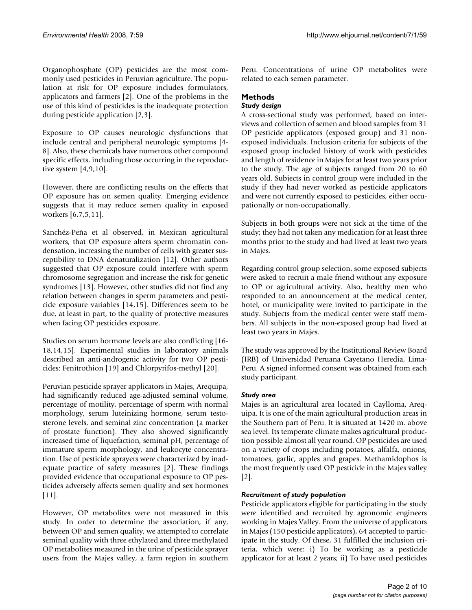Organophosphate (OP) pesticides are the most commonly used pesticides in Peruvian agriculture. The population at risk for OP exposure includes formulators, applicators and farmers [2]. One of the problems in the use of this kind of pesticides is the inadequate protection during pesticide application [2,3].

Exposure to OP causes neurologic dysfunctions that include central and peripheral neurologic symptoms [4- 8]. Also, these chemicals have numerous other compound specific effects, including those occurring in the reproductive system  $[4,9,10]$ .

However, there are conflicting results on the effects that OP exposure has on semen quality. Emerging evidence suggests that it may reduce semen quality in exposed workers [6,7,5,11].

Sanchéz-Peña et al observed, in Mexican agricultural workers, that OP exposure alters sperm chromatin condensation, increasing the number of cells with greater susceptibility to DNA denaturalization [12]. Other authors suggested that OP exposure could interfere with sperm chromosome segregation and increase the risk for genetic syndromes [13]. However, other studies did not find any relation between changes in sperm parameters and pesticide exposure variables [14,15]. Differences seem to be due, at least in part, to the quality of protective measures when facing OP pesticides exposure.

Studies on serum hormone levels are also conflicting [16- 18,14,15]. Experimental studies in laboratory animals described an anti-androgenic activity for two OP pesticides: Fenitrothion [19] and Chlorpyrifos-methyl [20].

Peruvian pesticide sprayer applicators in Majes, Arequipa, had significantly reduced age-adjusted seminal volume, percentage of motility, percentage of sperm with normal morphology, serum luteinizing hormone, serum testosterone levels, and seminal zinc concentration (a marker of prostate function). They also showed significantly increased time of liquefaction, seminal pH, percentage of immature sperm morphology, and leukocyte concentration. Use of pesticide sprayers were characterized by inadequate practice of safety measures [2]. These findings provided evidence that occupational exposure to OP pesticides adversely affects semen quality and sex hormones  $[11]$ .

However, OP metabolites were not measured in this study. In order to determine the association, if any, between OP and semen quality, we attempted to correlate seminal quality with three ethylated and three methylated OP metabolites measured in the urine of pesticide sprayer users from the Majes valley, a farm region in southern

Peru. Concentrations of urine OP metabolites were related to each semen parameter.

# **Methods**

# *Study design*

A cross-sectional study was performed, based on interviews and collection of semen and blood samples from 31 OP pesticide applicators (exposed group) and 31 nonexposed individuals. Inclusion criteria for subjects of the exposed group included history of work with pesticides and length of residence in Majes for at least two years prior to the study. The age of subjects ranged from 20 to 60 years old. Subjects in control group were included in the study if they had never worked as pesticide applicators and were not currently exposed to pesticides, either occupationally or non-occupationally.

Subjects in both groups were not sick at the time of the study; they had not taken any medication for at least three months prior to the study and had lived at least two years in Majes.

Regarding control group selection, some exposed subjects were asked to recruit a male friend without any exposure to OP or agricultural activity. Also, healthy men who responded to an announcement at the medical center, hotel, or municipality were invited to participate in the study. Subjects from the medical center were staff members. All subjects in the non-exposed group had lived at least two years in Majes.

The study was approved by the Institutional Review Board (IRB) of Universidad Peruana Cayetano Heredia, Lima-Peru. A signed informed consent was obtained from each study participant.

# *Study area*

Majes is an agricultural area located in Caylloma, Arequipa. It is one of the main agricultural production areas in the Southern part of Peru. It is situated at 1420 m. above sea level. Its temperate climate makes agricultural production possible almost all year round. OP pesticides are used on a variety of crops including potatoes, alfalfa, onions, tomatoes, garlic, apples and grapes. Methamidophos is the most frequently used OP pesticide in the Majes valley [2].

# *Recruitment of study population*

Pesticide applicators eligible for participating in the study were identified and recruited by agronomic engineers working in Majes Valley. From the universe of applicators in Majes (150 pesticide applicators), 64 accepted to participate in the study. Of these, 31 fulfilled the inclusion criteria, which were: i) To be working as a pesticide applicator for at least 2 years; ii) To have used pesticides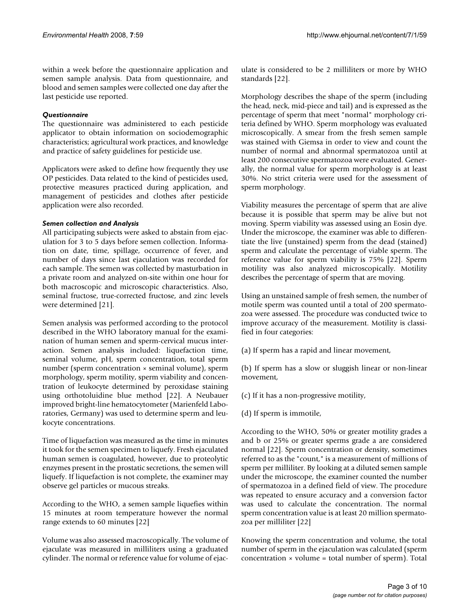within a week before the questionnaire application and semen sample analysis. Data from questionnaire, and blood and semen samples were collected one day after the last pesticide use reported.

# *Questionnaire*

The questionnaire was administered to each pesticide applicator to obtain information on sociodemographic characteristics; agricultural work practices, and knowledge and practice of safety guidelines for pesticide use.

Applicators were asked to define how frequently they use OP pesticides. Data related to the kind of pesticides used, protective measures practiced during application, and management of pesticides and clothes after pesticide application were also recorded.

#### *Semen collection and Analysis*

All participating subjects were asked to abstain from ejaculation for 3 to 5 days before semen collection. Information on date, time, spillage, occurrence of fever, and number of days since last ejaculation was recorded for each sample. The semen was collected by masturbation in a private room and analyzed on-site within one hour for both macroscopic and microscopic characteristics. Also, seminal fructose, true-corrected fructose, and zinc levels were determined [21].

Semen analysis was performed according to the protocol described in the WHO laboratory manual for the examination of human semen and sperm-cervical mucus interaction. Semen analysis included: liquefaction time, seminal volume, pH, sperm concentration, total sperm number (sperm concentration × seminal volume), sperm morphology, sperm motility, sperm viability and concentration of leukocyte determined by peroxidase staining using orthotoluidine blue method [22]. A Neubauer improved bright-line hematocytometer (Marienfeld Laboratories, Germany) was used to determine sperm and leukocyte concentrations.

Time of liquefaction was measured as the time in minutes it took for the semen specimen to liquefy. Fresh ejaculated human semen is coagulated, however, due to proteolytic enzymes present in the prostatic secretions, the semen will liquefy. If liquefaction is not complete, the examiner may observe gel particles or mucous streaks.

According to the WHO, a semen sample liquefies within 15 minutes at room temperature however the normal range extends to 60 minutes [22]

Volume was also assessed macroscopically. The volume of ejaculate was measured in milliliters using a graduated cylinder. The normal or reference value for volume of ejaculate is considered to be 2 milliliters or more by WHO standards [22].

Morphology describes the shape of the sperm (including the head, neck, mid-piece and tail) and is expressed as the percentage of sperm that meet "normal" morphology criteria defined by WHO. Sperm morphology was evaluated microscopically. A smear from the fresh semen sample was stained with Giemsa in order to view and count the number of normal and abnormal spermatozoa until at least 200 consecutive spermatozoa were evaluated. Generally, the normal value for sperm morphology is at least 30%. No strict criteria were used for the assessment of sperm morphology.

Viability measures the percentage of sperm that are alive because it is possible that sperm may be alive but not moving. Sperm viability was assessed using an Eosin dye. Under the microscope, the examiner was able to differentiate the live (unstained) sperm from the dead (stained) sperm and calculate the percentage of viable sperm. The reference value for sperm viability is 75% [22]. Sperm motility was also analyzed microscopically. Motility describes the percentage of sperm that are moving.

Using an unstained sample of fresh semen, the number of motile sperm was counted until a total of 200 spermatozoa were assessed. The procedure was conducted twice to improve accuracy of the measurement. Motility is classified in four categories:

(a) If sperm has a rapid and linear movement,

(b) If sperm has a slow or sluggish linear or non-linear movement,

- (c) If it has a non-progressive motility,
- (d) If sperm is immotile,

According to the WHO, 50% or greater motility grades a and b or 25% or greater sperms grade a are considered normal [22]. Sperm concentration or density, sometimes referred to as the "count," is a measurement of millions of sperm per milliliter. By looking at a diluted semen sample under the microscope, the examiner counted the number of spermatozoa in a defined field of view. The procedure was repeated to ensure accuracy and a conversion factor was used to calculate the concentration. The normal sperm concentration value is at least 20 million spermatozoa per milliliter [22]

Knowing the sperm concentration and volume, the total number of sperm in the ejaculation was calculated (sperm concentration  $\times$  volume = total number of sperm). Total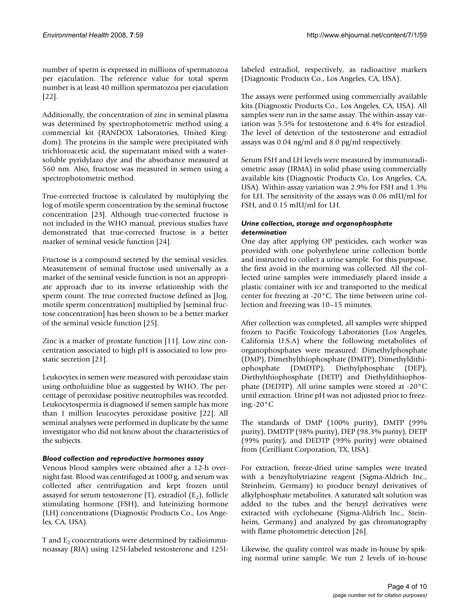number of sperm is expressed in millions of spermatozoa per ejaculation. The reference value for total sperm number is at least 40 million spermatozoa per ejaculation [22].

Additionally, the concentration of zinc in seminal plasma was determined by spectrophotometric method using a commercial kit (RANDOX Laboratories, United Kingdom). The proteins in the sample were precipitated with trichloroacetic acid, the supernatant mixed with a watersoluble pyridylazo dye and the absorbance measured at 560 nm. Also, fructose was measured in semen using a spectrophotometric method.

True-corrected fructose is calculated by multiplying the log of motile sperm concentration by the seminal fructose concentration [23]. Although true-corrected fructose is not included in the WHO manual, previous studies have demonstrated that true-corrected fructose is a better marker of seminal vesicle function [24].

Fructose is a compound secreted by the seminal vesicles. Measurement of seminal fructose used universally as a marker of the seminal vesicle function is not an appropriate approach due to its inverse relationship with the sperm count. The true corrected fructose defined as [log. motile sperm concentration] multiplied by [seminal fructose concentration] has been shown to be a better marker of the seminal vesicle function [25].

Zinc is a marker of prostate function [11]. Low zinc concentration associated to high pH is associated to low prostatic secretion [21].

Leukocytes in semen were measured with peroxidase stain using ortholuidine blue as suggested by WHO. The percentage of peroxidase positive neutrophiles was recorded. Leukocytospermia is diagnosed if semen sample has more than 1 million leucocytes peroxidase positive [22]. All seminal analyses were performed in duplicate by the same investigator who did not know about the characteristics of the subjects.

# *Blood collection and reproductive hormones assay*

Venous blood samples were obtained after a 12-h overnight fast. Blood was centrifuged at 1000 g, and serum was collected after centrifugation and kept frozen until assayed for serum testosterone (T), estradiol  $(E_2)$ , follicle stimulating hormone (FSH), and luteinizing hormone (LH) concentrations (Diagnostic Products Co., Los Angeles, CA, USA).

T and  $E_2$  concentrations were determined by radioimmunoassay (RIA) using 125I-labeled testosterone and 125I- labeled estradiol, respectively, as radioactive markers (Diagnostic Products Co., Los Angeles, CA, USA).

The assays were performed using commercially available kits (Diagnostic Products Co., Los Angeles, CA, USA). All samples were run in the same assay. The within-assay variation was 5.5% for testosterone and 6.4% for estradiol. The level of detection of the testosterone and estradiol assays was 0.04 ng/ml and 8.0 pg/ml respectively.

Serum FSH and LH levels were measured by immunoradiometric assay (IRMA) in solid phase using commercially available kits (Diagnostic Products Co, Los Angeles, CA, USA). Within-assay variation was 2.9% for FSH and 1.3% for LH. The sensitivity of the assays was 0.06 mIU/ml for FSH, and 0.15 mIU/ml for LH.

# *Urine collection, storage and organophosphate determination*

One day after applying OP pesticides, each worker was provided with one polyethylene urine collection bottle and instructed to collect a urine sample. For this purpose, the first avoid in the morning was collected. All the collected urine samples were immediately placed inside a plastic container with ice and transported to the medical center for freezing at -20°C. The time between urine collection and freezing was 10–15 minutes.

After collection was completed, all samples were shipped frozen to Pacific Toxicology Laboratories (Los Angeles, California U.S.A) where the following metabolites of organophosphates were measured: Dimethylphosphate (DMP), Dimethylthiophosphate (DMTP), Dimethyldithiophosphate (DMDTP), Diethylphosphate (DEP), Diethylthiophosphate (DETP) and Diethyldithiophosphate (DEDTP). All urine samples were stored at -20°C until extraction. Urine pH was not adjusted prior to freezing.- $20^{\circ}$ C

The standards of DMP (100% purity), DMTP (99% purity), DMDTP (98% purity), DEP (98.3% purity), DETP (99% purity), and DEDTP (99% purity) were obtained from (Cerilliant Corporation, TX, USA).

For extraction, freeze-dried urine samples were treated with a benzyltolytriazine reagent (Sigma-Aldrich Inc., Steinheim, Germany) to produce benzyl derivatives of alkylphosphate metabolites. A saturated salt solution was added to the tubes and the benzyl derivatives were extracted with cyclohexane (Sigma-Aldrich Inc., Steinheim, Germany) and analyzed by gas chromatography with flame photometric detection [26].

Likewise, the quality control was made in-house by spiking normal urine sample. We run 2 levels of in-house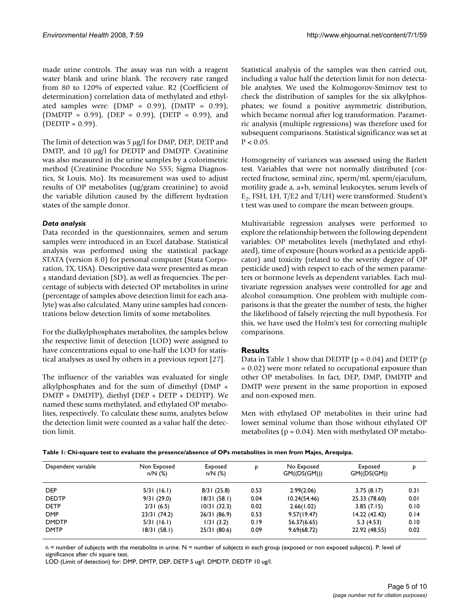made urine controls. The assay was run with a reagent water blank and urine blank. The recovery rate ranged from 80 to 120% of expected value. R2 (Coefficient of determination) correlation data of methylated and ethylated samples were:  $(DMP = 0.99)$ ,  $(DMTP = 0.99)$ ,  $(DMDTP = 0.99)$ ,  $(DEP = 0.99)$ ,  $(DETP = 0.99)$ , and  $(DEDTP = 0.99)$ .

The limit of detection was 5 μg/l for DMP, DEP, DETP and DMTP, and 10 μg/l for DEDTP and DMDTP. Creatinine was also measured in the urine samples by a colorimetric method (Creatinine Procedure No 555; Sigma Diagnostics, St Louis, Mo). Its measurement was used to adjust results of OP metabolites (ug/gram creatinine) to avoid the variable dilution caused by the different hydration states of the sample donor.

#### *Data analysis*

Data recorded in the questionnaires, semen and serum samples were introduced in an Excel database. Statistical analysis was performed using the statistical package STATA (version 8.0) for personal computer (Stata Corporation, TX, USA). Descriptive data were presented as mean ± standard deviation (SD), as well as frequencies. The percentage of subjects with detected OP metabolites in urine (percentage of samples above detection limit for each analyte) was also calculated. Many urine samples had concentrations below detection limits of some metabolites.

For the dialkylphosphates metabolites, the samples below the respective limit of detection (LOD) were assigned to have concentrations equal to one-half the LOD for statistical analyses as used by others in a previous report [27].

The influence of the variables was evaluated for single alkylphosphates and for the sum of dimethyl (DMP + DMTP + DMDTP), diethyl (DEP + DETP + DEDTP). We named these sums methylated, and ethylated OP metabolites, respectively. To calculate these sums, analytes below the detection limit were counted as a value half the detection limit.

Statistical analysis of the samples was then carried out, including a value half the detection limit for non detectable analytes. We used the Kolmogorov-Smirnov test to check the distribution of samples for the six alkylphosphates; we found a positive asymmetric distribution, which became normal after log transformation. Parametric analysis (multiple regressions) was therefore used for subsequent comparisons. Statistical significance was set at  $P < 0.05$ .

Homogeneity of variances was assessed using the Barlett test. Variables that were not normally distributed (corrected fructose, seminal zinc, sperm/ml, sperm/ejaculum, motility grade a, a+b, seminal leukocytes, serum levels of  $E<sub>2</sub>$ , FSH, LH, T/E2 and T/LH) were transformed. Student's t test was used to compare the mean between groups.

Multivariable regression analyses were performed to explore the relationship between the following dependent variables: OP metabolites levels (methylated and ethylated), time of exposure (hours worked as a pesticide applicator) and toxicity (related to the severity degree of OP pesticide used) with respect to each of the semen parameters or hormone levels as dependent variables. Each multivariate regression analyses were controlled for age and alcohol consumption. One problem with multiple comparisons is that the greater the number of tests, the higher the likelihood of falsely rejecting the null hypothesis. For this, we have used the Holm's test for correcting multiple comparisons.

# **Results**

Data in Table 1 show that DEDTP ( $p = 0.04$ ) and DETP ( $p = 0.04$ ) = 0.02) were more related to occupational exposure than other OP metabolites. In fact, DEP, DMP, DMDTP and DMTP were present in the same proportion in exposed and non-exposed men.

Men with ethylated OP metabolites in their urine had lower seminal volume than those without ethylated OP metabolites ( $p = 0.04$ ). Men with methylated OP metabo-

| Table I: Chi-square test to evaluate the presence/absence of OPs metabolites in men from Majes, Arequipa. |  |  |
|-----------------------------------------------------------------------------------------------------------|--|--|
|-----------------------------------------------------------------------------------------------------------|--|--|

| Dependent variable | Non Exposed<br>$n/N$ (%) | Exposed<br>$n/N$ (%) | D    | No Exposed<br>GM((DS(GM))) | Exposed<br>GM((DS(GM)) | D    |
|--------------------|--------------------------|----------------------|------|----------------------------|------------------------|------|
| <b>DEP</b>         | 5/31(16.1)               | 8/31(25.8)           | 0.53 | 2.99(2.06)                 | 3.75(8.17)             | 0.31 |
| <b>DEDTP</b>       | 9/31(29.0)               | 18/31(58.1)          | 0.04 | 10.24(54.46)               | 25.33 (78.60)          | 0.01 |
| <b>DETP</b>        | 2/31(6.5)                | 10/31(32.3)          | 0.02 | 2.66(1.02)                 | 3.85(7.15)             | 0.10 |
| <b>DMP</b>         | 23/31 (74.2)             | 26/31 (86.9)         | 0.53 | 9.57(19.47)                | 14.22 (42.42)          | 0.14 |
| <b>DMDTP</b>       | $5/3$ (16.1)             | 1/31(3.2)            | 0.19 | 56.37(6.65)                | 5.3(4.53)              | 0.10 |
| <b>DMTP</b>        | 18/31(58.1)              | 25/31 (80.6)         | 0.09 | 9.69(68.72)                | 22.92 (48.55)          | 0.02 |

n = number of subjects with the metabolite in urine. N = number of subjects in each group (exposed or non exposed subjects). P: level of significance after chi square test.

LOD (Limit of detection) for: DMP, DMTP, DEP, DETP 5 ug/l. DMDTP, DEDTP 10 ug/l.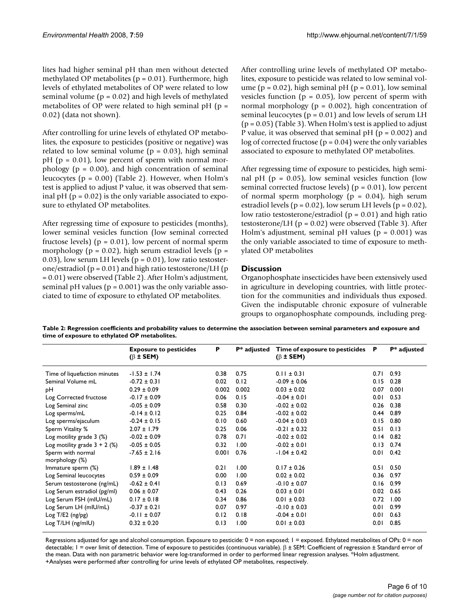lites had higher seminal pH than men without detected methylated OP metabolites ( $p = 0.01$ ). Furthermore, high levels of ethylated metabolites of OP were related to low seminal volume ( $p = 0.02$ ) and high levels of methylated metabolites of OP were related to high seminal  $pH$  ( $p =$ 0.02) (data not shown).

After controlling for urine levels of ethylated OP metabolites, the exposure to pesticides (positive or negative) was related to low seminal volume ( $p = 0.03$ ), high seminal  $pH$  ( $p = 0.01$ ), low percent of sperm with normal morphology ( $p = 0.00$ ), and high concentration of seminal leucocytes ( $p = 0.00$ ) (Table 2). However, when Holm's test is applied to adjust P value, it was observed that seminal pH ( $p = 0.02$ ) is the only variable associated to exposure to ethylated OP metabolites.

After regressing time of exposure to pesticides (months), lower seminal vesicles function (low seminal corrected fructose levels) ( $p = 0.01$ ), low percent of normal sperm morphology ( $p = 0.02$ ), high serum estradiol levels ( $p =$ 0.03), low serum LH levels ( $p = 0.01$ ), low ratio testosterone/estradiol ( $p = 0.01$ ) and high ratio testosterone/LH ( $p$ = 0.01) were observed (Table 2). After Holm's adjustment, seminal pH values ( $p = 0.001$ ) was the only variable associated to time of exposure to ethylated OP metabolites.

After controlling urine levels of methylated OP metabolites, exposure to pesticide was related to low seminal volume ( $p = 0.02$ ), high seminal pH ( $p = 0.01$ ), low seminal vesicles function ( $p = 0.05$ ), low percent of sperm with normal morphology ( $p = 0.002$ ), high concentration of seminal leucocytes ( $p = 0.01$ ) and low levels of serum LH  $(p = 0.05)$  (Table 3). When Holm's test is applied to adjust P value, it was observed that seminal pH ( $p = 0.002$ ) and  $log$  of corrected fructose ( $p = 0.04$ ) were the only variables associated to exposure to methylated OP metabolites.

After regressing time of exposure to pesticides, high seminal pH ( $p = 0.05$ ), low seminal vesicles function (low seminal corrected fructose levels) ( $p = 0.01$ ), low percent of normal sperm morphology ( $p = 0.04$ ), high serum estradiol levels ( $p = 0.02$ ), low serum LH levels ( $p = 0.02$ ), low ratio testosterone/estradiol ( $p = 0.01$ ) and high ratio testosterone/LH ( $p = 0.02$ ) were observed (Table 3). After Holm's adjustment, seminal pH values ( $p = 0.001$ ) was the only variable associated to time of exposure to methylated OP metabolites

#### **Discussion**

Organophosphate insecticides have been extensively used in agriculture in developing countries, with little protection for the communities and individuals thus exposed. Given the indisputable chronic exposure of vulnerable groups to organophosphate compounds, including preg-

**Table 2: Regression coefficients and probability values to determine the association between seminal parameters and exposure and time of exposure to ethylated OP metabolites.**

|                                     | <b>Exposure to pesticides</b><br>$(\beta \pm$ SEM) | P     | P* adjusted | Time of exposure to pesticides<br>$(\beta \pm$ SEM) | P    | $P^*$ adjusted |
|-------------------------------------|----------------------------------------------------|-------|-------------|-----------------------------------------------------|------|----------------|
| Time of liquefaction minutes        | $-1.53 \pm 1.74$                                   | 0.38  | 0.75        | $0.11 \pm 0.31$                                     | 0.71 | 0.93           |
| Seminal Volume mL                   | $-0.72 \pm 0.31$                                   | 0.02  | 0.12        | $-0.09 \pm 0.06$                                    | 0.15 | 0.28           |
| pН                                  | $0.29 \pm 0.09$                                    | 0.002 | 0.002       | $0.03 \pm 0.02$                                     | 0.07 | 0.001          |
| Log Corrected fructose              | $-0.17 \pm 0.09$                                   | 0.06  | 0.15        | $-0.04 \pm 0.01$                                    | 0.01 | 0.53           |
| Log Seminal zinc                    | $-0.05 \pm 0.09$                                   | 0.58  | 0.30        | $-0.02 \pm 0.02$                                    | 0.26 | 0.38           |
| Log sperms/mL                       | $-0.14 \pm 0.12$                                   | 0.25  | 0.84        | $-0.02 \pm 0.02$                                    | 0.44 | 0.89           |
| Log sperms/ejaculum                 | $-0.24 \pm 0.15$                                   | 0.10  | 0.60        | $-0.04 \pm 0.03$                                    | 0.15 | 0.80           |
| Sperm Vitality %                    | $2.07 \pm 1.79$                                    | 0.25  | 0.06        | $-0.21 \pm 0.32$                                    | 0.51 | 0.13           |
| Log motility grade 3 (%)            | $-0.02 \pm 0.09$                                   | 0.78  | 0.71        | $-0.02 \pm 0.02$                                    | 0.14 | 0.82           |
| Log motility grade $3 + 2$ (%)      | $-0.05 \pm 0.05$                                   | 0.32  | 1.00        | $-0.02 \pm 0.01$                                    | 0.13 | 0.74           |
| Sperm with normal<br>morphology (%) | $-7.65 \pm 2.16$                                   | 0.001 | 0.76        | $-1.04 \pm 0.42$                                    | 0.01 | 0.42           |
| Immature sperm (%)                  | $1.89 \pm 1.48$                                    | 0.21  | 1.00        | $0.17 \pm 0.26$                                     | 0.51 | 0.50           |
| Log Seminal leucocytes              | $0.59 \pm 0.09$                                    | 0.00  | 1.00        | $0.02 \pm 0.02$                                     | 0.36 | 0.97           |
| Serum testosterone (ng/mL)          | $-0.62 \pm 0.41$                                   | 0.13  | 0.69        | $-0.10 \pm 0.07$                                    | 0.16 | 0.99           |
| Log Serum estradiol (pg/ml)         | $0.06 \pm 0.07$                                    | 0.43  | 0.26        | $0.03 \pm 0.01$                                     | 0.02 | 0.65           |
| Log Serum FSH (mIU/mL)              | $0.17 \pm 0.18$                                    | 0.34  | 0.86        | $0.01 \pm 0.03$                                     | 0.72 | 1.00           |
| Log Serum LH (mIU/mL)               | $-0.37 \pm 0.21$                                   | 0.07  | 0.97        | $-0.10 \pm 0.03$                                    | 0.01 | 0.99           |
| Log T/E2 (ng/pg)                    | $-0.11 \pm 0.07$                                   | 0.12  | 0.18        | $-0.04 \pm 0.01$                                    | 0.01 | 0.63           |
| Log T/LH (ng/mlU)                   | $0.32 \pm 0.20$                                    | 0.13  | 1.00        | $0.01 \pm 0.03$                                     | 0.01 | 0.85           |

Regressions adjusted for age and alcohol consumption. Exposure to pesticide: 0 = non exposed; 1 = exposed. Ethylated metabolites of OPs: 0 = non detectable; 1 = over limit of detection. Time of exposure to pesticides (continuous variable). β ± SEM: Coefficient of regression ± Standard error of the mean. Data with non parametric behavior were log-transformed in order to performed linear regression analyses. \*Holm adjustment. +Analyses were performed after controlling for urine levels of ethylated OP metabolites, respectively.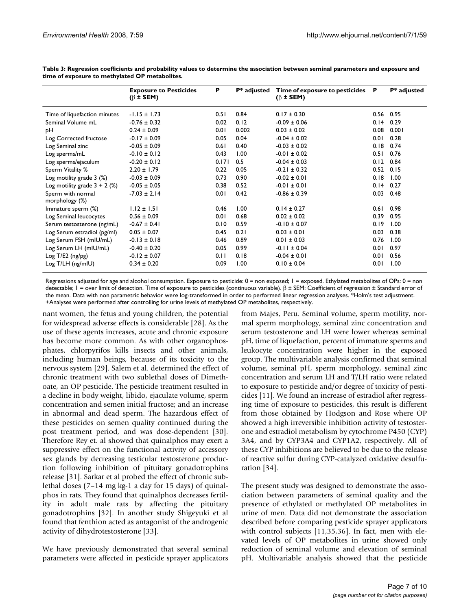|                                     | <b>Exposure to Pesticides</b><br>$(\beta \pm$ SEM) | P     | $P^*$ adjusted | Time of exposure to pesticides<br>$(\beta \pm$ SEM) | P    | $P^*$ adjusted |
|-------------------------------------|----------------------------------------------------|-------|----------------|-----------------------------------------------------|------|----------------|
| Time of liquefaction minutes        | $-1.15 \pm 1.73$                                   | 0.51  | 0.84           | $0.17 \pm 0.30$                                     | 0.56 | 0.95           |
| Seminal Volume mL                   | $-0.76 \pm 0.32$                                   | 0.02  | 0.12           | $-0.09 \pm 0.06$                                    | 0.14 | 0.29           |
| pН                                  | $0.24 \pm 0.09$                                    | 0.01  | 0.002          | $0.03 \pm 0.02$                                     | 0.08 | 0.001          |
| Log Corrected fructose              | $-0.17 \pm 0.09$                                   | 0.05  | 0.04           | $-0.04 \pm 0.02$                                    | 0.01 | 0.28           |
| Log Seminal zinc                    | $-0.05 \pm 0.09$                                   | 0.61  | 0.40           | $-0.03 \pm 0.02$                                    | 0.18 | 0.74           |
| Log sperms/mL                       | $-0.10 \pm 0.12$                                   | 0.43  | 1.00           | $-0.01 \pm 0.02$                                    | 0.51 | 0.76           |
| Log sperms/ejaculum                 | $-0.20 \pm 0.12$                                   | 0.171 | 0.5            | $-0.04 \pm 0.03$                                    | 0.12 | 0.84           |
| Sperm Vitality %                    | $2.20 \pm 1.79$                                    | 0.22  | 0.05           | $-0.21 \pm 0.32$                                    | 0.52 | 0.15           |
| Log motility grade $3$ (%)          | $-0.03 \pm 0.09$                                   | 0.73  | 0.90           | $-0.02 \pm 0.01$                                    | 0.18 | 1.00           |
| Log motility grade $3 + 2$ (%)      | $-0.05 \pm 0.05$                                   | 0.38  | 0.52           | $-0.01 \pm 0.01$                                    | 0.14 | 0.27           |
| Sperm with normal<br>morphology (%) | $-7.03 \pm 2.14$                                   | 0.01  | 0.42           | $-0.86 \pm 0.39$                                    | 0.03 | 0.48           |
| Immature sperm (%)                  | $1.12 \pm 1.51$                                    | 0.46  | 1.00           | $0.14 \pm 0.27$                                     | 0.61 | 0.98           |
| Log Seminal leucocytes              | $0.56 \pm 0.09$                                    | 0.01  | 0.68           | $0.02 \pm 0.02$                                     | 0.39 | 0.95           |
| Serum testosterone (ng/mL)          | $-0.67 \pm 0.41$                                   | 0.10  | 0.59           | $-0.10 \pm 0.07$                                    | 0.19 | 1.00           |
| Log Serum estradiol (pg/ml)         | $0.05 \pm 0.07$                                    | 0.45  | 0.21           | $0.03 \pm 0.01$                                     | 0.03 | 0.38           |
| Log Serum FSH (mIU/mL)              | $-0.13 \pm 0.18$                                   | 0.46  | 0.89           | $0.01 \pm 0.03$                                     | 0.76 | 1.00           |
| Log Serum LH (mIU/mL)               | $-0.40 \pm 0.20$                                   | 0.05  | 0.99           | $-0.11 \pm 0.04$                                    | 0.01 | 0.97           |
| Log T/E2 (ng/pg)                    | $-0.12 \pm 0.07$                                   | 0.11  | 0.18           | $-0.04 \pm 0.01$                                    | 0.01 | 0.56           |
| Log T/LH (ng/mlU)                   | $0.34 \pm 0.20$                                    | 0.09  | 1.00           | $0.10 \pm 0.04$                                     | 0.01 | 1.00           |

**Table 3: Regression coefficients and probability values to determine the association between seminal parameters and exposure and time of exposure to methylated OP metabolites.**

Regressions adjusted for age and alcohol consumption. Exposure to pesticide: 0 = non exposed; 1 = exposed. Ethylated metabolites of OPs: 0 = non detectable; 1 = over limit of detection. Time of exposure to pesticides (continuous variable). β ± SEM: Coefficient of regression ± Standard error of the mean. Data with non parametric behavior were log-transformed in order to performed linear regression analyses. \*Holm's test adjustment. +Analyses were performed after controlling for urine levels of methylated OP metabolites, respectively.

nant women, the fetus and young children, the potential for widespread adverse effects is considerable [28]. As the use of these agents increases, acute and chronic exposure has become more common. As with other organophosphates, chlorpyrifos kills insects and other animals, including human beings, because of its toxicity to the nervous system [29]. Salem et al. determined the effect of chronic treatment with two sublethal doses of Dimethoate, an OP pesticide. The pesticide treatment resulted in a decline in body weight, libido, ejaculate volume, sperm concentration and semen initial fructose; and an increase in abnormal and dead sperm. The hazardous effect of these pesticides on semen quality continued during the post treatment period, and was dose-dependent [30]. Therefore Rey et. al showed that quinalphos may exert a suppressive effect on the functional activity of accessory sex glands by decreasing testicular testosterone production following inhibition of pituitary gonadotrophins release [31]. Sarkar et al probed the effect of chronic sublethal doses (7–14 mg kg-1 a day for 15 days) of quinalphos in rats. They found that quinalphos decreases fertility in adult male rats by affecting the pituitary gonadotrophins [32]. In another study Shigeyuki et al found that fenthion acted as antagonist of the androgenic activity of dihydrotestosterone [33].

We have previously demonstrated that several seminal parameters were affected in pesticide sprayer applicators

from Majes, Peru. Seminal volume, sperm motility, normal sperm morphology, seminal zinc concentration and serum testosterone and LH were lower whereas seminal pH, time of liquefaction, percent of immature sperms and leukocyte concentration were higher in the exposed group. The multivariable analysis confirmed that seminal volume, seminal pH, sperm morphology, seminal zinc concentration and serum LH and T/LH ratio were related to exposure to pesticide and/or degree of toxicity of pesticides [11]. We found an increase of estradiol after regressing time of exposure to pesticides, this result is different from those obtained by Hodgson and Rose where OP showed a high irreversible inhibition activity of testosterone and estradiol metabolism by cytochrome P450 (CYP) 3A4, and by CYP3A4 and CYP1A2, respectively. All of these CYP inhibitions are believed to be due to the release of reactive sulfur during CYP-catalyzed oxidative desulfuration [34].

The present study was designed to demonstrate the association between parameters of seminal quality and the presence of ethylated or methylated OP metabolites in urine of men. Data did not demonstrate the association described before comparing pesticide sprayer applicators with control subjects [11,35,36]. In fact, men with elevated levels of OP metabolites in urine showed only reduction of seminal volume and elevation of seminal pH. Multivariable analysis showed that the pesticide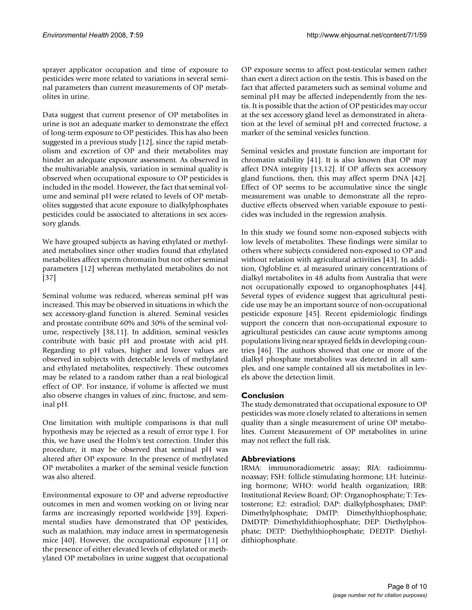sprayer applicator occupation and time of exposure to pesticides were more related to variations in several seminal parameters than current measurements of OP metabolites in urine.

Data suggest that current presence of OP metabolites in urine is not an adequate marker to demonstrate the effect of long-term exposure to OP pesticides. This has also been suggested in a previous study [12], since the rapid metabolism and excretion of OP and their metabolites may hinder an adequate exposure assessment. As observed in the multivariable analysis, variation in seminal quality is observed when occupational exposure to OP pesticides is included in the model. However, the fact that seminal volume and seminal pH were related to levels of OP metabolites suggested that acute exposure to dialkylphosphates pesticides could be associated to alterations in sex accessory glands.

We have grouped subjects as having ethylated or methylated metabolites since other studies found that ethylated metabolites affect sperm chromatin but not other seminal parameters [12] whereas methylated metabolites do not [37]

Seminal volume was reduced, whereas seminal pH was increased. This may be observed in situations in which the sex accessory-gland function is altered. Seminal vesicles and prostate contribute 60% and 30% of the seminal volume, respectively [38,11]. In addition, seminal vesicles contribute with basic pH and prostate with acid pH. Regarding to pH values, higher and lower values are observed in subjects with detectable levels of methylated and ethylated metabolites, respectively. These outcomes may be related to a random rather than a real biological effect of OP. For instance, if volume is affected we must also observe changes in values of zinc, fructose, and seminal pH.

One limitation with multiple comparisons is that null hypothesis may be rejected as a result of error type I. For this, we have used the Holm's test correction. Under this procedure, it may be observed that seminal pH was altered after OP exposure. In the presence of methylated OP metabolites a marker of the seminal vesicle function was also altered.

Environmental exposure to OP and adverse reproductive outcomes in men and women working on or living near farms are increasingly reported worldwide [39]. Experimental studies have demonstrated that OP pesticides, such as malathion, may induce arrest in spermatogenesis mice [40]. However, the occupational exposure [11] or the presence of either elevated levels of ethylated or methylated OP metabolites in urine suggest that occupational

OP exposure seems to affect post-testicular semen rather than exert a direct action on the testis. This is based on the fact that affected parameters such as seminal volume and seminal pH may be affected independently from the testis. It is possible that the action of OP pesticides may occur at the sex accessory gland level as demonstrated in alteration at the level of seminal pH and corrected fructose, a marker of the seminal vesicles function.

Seminal vesicles and prostate function are important for chromatin stability [41]. It is also known that OP may affect DNA integrity [13,12]. If OP affects sex accessory gland functions, then, this may affect sperm DNA [42]. Effect of OP seems to be accumulative since the single measurement was unable to demonstrate all the reproductive effects observed when variable exposure to pesticides was included in the regression analysis.

In this study we found some non-exposed subjects with low levels of metabolites. These findings were similar to others where subjects considered non-exposed to OP and without relation with agricultural activities [43]. In addition, Oglobline et. al measured urinary concentrations of dialkyl metabolites in 48 adults from Australia that were not occupationally exposed to organophosphates [44]. Several types of evidence suggest that agricultural pesticide use may be an important source of non-occupational pesticide exposure [45]. Recent epidemiologic findings support the concern that non-occupational exposure to agricultural pesticides can cause acute symptoms among populations living near sprayed fields in developing countries [46]. The authors showed that one or more of the dialkyl phosphate metabolites was detected in all samples, and one sample contained all six metabolites in levels above the detection limit.

# **Conclusion**

The study demonstrated that occupational exposure to OP pesticides was more closely related to alterations in semen quality than a single measurement of urine OP metabolites. Current Measurement of OP metabolites in urine may not reflect the full risk.

# **Abbreviations**

IRMA: immunoradiometric assay; RIA: radioimmunoassay; FSH: follicle stimulating hormone; LH: luteinizing hormone; WHO: world health organization; IRB: Institutional Review Board; OP: Organophosphate; T: Testosterone; E2: estradiol; DAP: dialkylphosphates; DMP: Dimethylphosphate; DMTP: Dimethylthiophosphate; DMDTP: Dimethyldithiophosphate; DEP: Diethylphosphate; DETP: Diethylthiophosphate; DEDTP: Diethyldithiophosphate.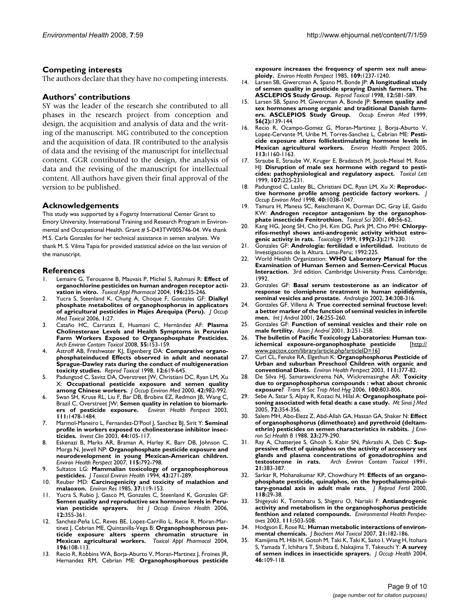#### **Competing interests**

The authors declare that they have no competing interests.

#### **Authors' contributions**

SY was the leader of the research she contributed to all phases in the research project from conception and design, the acquisition and analysis of data and the writing of the manuscript. MG contributed to the conception and the acquisition of data. JR contributed to the analysis of data and the revising of the manuscript for intellectual content. GGR contributed to the design, the analysis of data and the revising of the manuscript for intellectual content. All authors have given their final approval of the version to be published.

#### **Acknowledgements**

This study was supported by a Fogarty International Center Grant to Emory University, International Training and Research Program in Environmental and Occupational Health. Grant # 5-D43TW005746-04. We thank M.S. Carla Gonzales for her technical assistance in semen analyses. We thank M. S. Vilma Tapia for provided statistical advice on the last version of the manuscript.

#### **References**

- 1. Lemaire G, Terouanne B, Mauvais P, Michel S, Rahmani R: **[Effect of](http://www.ncbi.nlm.nih.gov/entrez/query.fcgi?cmd=Retrieve&db=PubMed&dopt=Abstract&list_uids=15081270) [organochlorine pesticides on human androgen receptor acti](http://www.ncbi.nlm.nih.gov/entrez/query.fcgi?cmd=Retrieve&db=PubMed&dopt=Abstract&list_uids=15081270)[vation in vitro.](http://www.ncbi.nlm.nih.gov/entrez/query.fcgi?cmd=Retrieve&db=PubMed&dopt=Abstract&list_uids=15081270)** *Toxicol Appl Pharmacol* 2004, **196:**235-246.
- 2. Yucra S, Steenland K, Chung A, Choque F, Gonzales GF: **[Dialkyl](http://www.ncbi.nlm.nih.gov/entrez/query.fcgi?cmd=Retrieve&db=PubMed&dopt=Abstract&list_uids=17177990) [phosphate metabolites of organophosphorus in applicators](http://www.ncbi.nlm.nih.gov/entrez/query.fcgi?cmd=Retrieve&db=PubMed&dopt=Abstract&list_uids=17177990) [of agricultural pesticides in Majes Arequipa \(Peru\).](http://www.ncbi.nlm.nih.gov/entrez/query.fcgi?cmd=Retrieve&db=PubMed&dopt=Abstract&list_uids=17177990)** *J Occup Med Toxicol* 2006, **1:**27.
- 3. Cataño HC, Carranza E, Huamani C, Hernández AF: **[Plasma](http://www.ncbi.nlm.nih.gov/entrez/query.fcgi?cmd=Retrieve&db=PubMed&dopt=Abstract&list_uids=18157496) [Cholinesterase Levels and Health Symptoms in Peruvian](http://www.ncbi.nlm.nih.gov/entrez/query.fcgi?cmd=Retrieve&db=PubMed&dopt=Abstract&list_uids=18157496) Farm Workers Exposed to Organophosphate Pesticides.** *Arch Environ Contam Toxicol* 2008, **55:**153-159.
- Astroff AB, Freshwater KJ, Eigenberg DA: **[Comparative organo](http://www.ncbi.nlm.nih.gov/entrez/query.fcgi?cmd=Retrieve&db=PubMed&dopt=Abstract&list_uids=9875697)[phosphateinduced Effects observed in adult and neonatal](http://www.ncbi.nlm.nih.gov/entrez/query.fcgi?cmd=Retrieve&db=PubMed&dopt=Abstract&list_uids=9875697) Sprague-Dawley rats during the conduct of multigeneration [toxicity studies.](http://www.ncbi.nlm.nih.gov/entrez/query.fcgi?cmd=Retrieve&db=PubMed&dopt=Abstract&list_uids=9875697)** *Reprod Toxicol* 1998, **12:**619-645.
- Padungtod C, Savitz DA, Overstreet JW, Christiani DC, Ryan LM, Xu X: **[Occupational pesticide exposure and semen quality](http://www.ncbi.nlm.nih.gov/entrez/query.fcgi?cmd=Retrieve&db=PubMed&dopt=Abstract&list_uids=11039162) [among Chinese workers.](http://www.ncbi.nlm.nih.gov/entrez/query.fcgi?cmd=Retrieve&db=PubMed&dopt=Abstract&list_uids=11039162)** *J Occup Environ Med* 2000, **42:**982-992.
- 6. Swan SH, Kruse RL, Liu F, Bar DB, Brobins EZ, Redmon JB, Wang C, Brazil C, Overstreet JW: **Semen quality in relation to biomark-**<br>ers of pesticide exposure. Environ Health Perspect 2003, [ers of pesticide exposure.](http://www.ncbi.nlm.nih.gov/entrez/query.fcgi?cmd=Retrieve&db=PubMed&dopt=Abstract&list_uids=12948887) **111:**1478-1484.
- 7. Marmol-Maneiro L, Fernandez-D'Pool J, Sanchez BJ, Sirit Y: **[Seminal](http://www.ncbi.nlm.nih.gov/entrez/query.fcgi?cmd=Retrieve&db=PubMed&dopt=Abstract&list_uids=12815841) [profile in workers exposed to cholinesterase inhibitor insec](http://www.ncbi.nlm.nih.gov/entrez/query.fcgi?cmd=Retrieve&db=PubMed&dopt=Abstract&list_uids=12815841)[ticides.](http://www.ncbi.nlm.nih.gov/entrez/query.fcgi?cmd=Retrieve&db=PubMed&dopt=Abstract&list_uids=12815841)** *Invest Clin* 2003, **44:**105-117.
- Eskenazi B, Marks AR, Braman A, Harley K, Barr DB, Johnson C, Morga N, Jewell NP: **[Organophosphate pesticide exposure and](http://www.ncbi.nlm.nih.gov/entrez/query.fcgi?cmd=Retrieve&db=PubMed&dopt=Abstract&list_uids=17520070) [neurodevelopment in young Mexican-American children.](http://www.ncbi.nlm.nih.gov/entrez/query.fcgi?cmd=Retrieve&db=PubMed&dopt=Abstract&list_uids=17520070)** *Environ Health Perspect* 2007, **115:**792-798.
- 9. Sultatos LG: **[Mammalian toxicology of organophosphorous](http://www.ncbi.nlm.nih.gov/entrez/query.fcgi?cmd=Retrieve&db=PubMed&dopt=Abstract&list_uids=7966438) [pesticides.](http://www.ncbi.nlm.nih.gov/entrez/query.fcgi?cmd=Retrieve&db=PubMed&dopt=Abstract&list_uids=7966438)** *J Toxicol Environ Health* 1994, **43:**271-289.
- 10. Reuber MD: **[Carcinogenicity and toxicity of malathion and](http://www.ncbi.nlm.nih.gov/entrez/query.fcgi?cmd=Retrieve&db=PubMed&dopt=Abstract&list_uids=3996333) [malaoxon.](http://www.ncbi.nlm.nih.gov/entrez/query.fcgi?cmd=Retrieve&db=PubMed&dopt=Abstract&list_uids=3996333)** *Environ Res* 1985, **37:**119-153.
- 11. Yucra S, Rubio J, Gasco M, Gonzales C, Steenland K, Gonzales GF: **[Semen quality and reproductive sex hormone levels in Peru](http://www.ncbi.nlm.nih.gov/entrez/query.fcgi?cmd=Retrieve&db=PubMed&dopt=Abstract&list_uids=17168223)[vian pesticide sprayers.](http://www.ncbi.nlm.nih.gov/entrez/query.fcgi?cmd=Retrieve&db=PubMed&dopt=Abstract&list_uids=17168223)** *Int J Occup Environ Health* 2006, **12:**355-361.
- 12. Sanchez-Peña LC, Reves BE, Lopez-Carrillo L, Recie R, Moran-Martinez J, Cebrian ME, Quintanilla-Vega B: **[Organophosphorous pes](http://www.ncbi.nlm.nih.gov/entrez/query.fcgi?cmd=Retrieve&db=PubMed&dopt=Abstract&list_uids=15050412)[ticide exposure alters sperm chromatin structure in](http://www.ncbi.nlm.nih.gov/entrez/query.fcgi?cmd=Retrieve&db=PubMed&dopt=Abstract&list_uids=15050412) [Mexican agricultural workers.](http://www.ncbi.nlm.nih.gov/entrez/query.fcgi?cmd=Retrieve&db=PubMed&dopt=Abstract&list_uids=15050412)** *Toxicol Appl Pharmacol* 2004, **196:**108-113.
- 13. Recio R, Robbins WA, Borja-Aburto V, Moran-Martinez J, Froines JR, Hernandez RM, Cebrian ME: **Organophosphorous pesticide**

**exposure increases the frequency of sperm sex null aneuploidy.** *Environ Health Perspect* 1985, **109:**1237-1240.

- 14. Larsen SB, Giwercman A, Spano M, Bonde JP: **[A longitudinal study](http://www.ncbi.nlm.nih.gov/entrez/query.fcgi?cmd=Retrieve&db=PubMed&dopt=Abstract&list_uids=9875693) [of semen quality in pesticide spraying Danish farmers. The](http://www.ncbi.nlm.nih.gov/entrez/query.fcgi?cmd=Retrieve&db=PubMed&dopt=Abstract&list_uids=9875693) [ASCLEPIOS Study Group.](http://www.ncbi.nlm.nih.gov/entrez/query.fcgi?cmd=Retrieve&db=PubMed&dopt=Abstract&list_uids=9875693)** *Reprod Toxicol* 1998, **12:**581-589.
- 15. Larsen SB, Spano M, Giwercman A, Bonde JP: **[Semen quality and](http://www.ncbi.nlm.nih.gov/entrez/query.fcgi?cmd=Retrieve&db=PubMed&dopt=Abstract&list_uids=10448320) [sex hormones among organic and traditional Danish farm](http://www.ncbi.nlm.nih.gov/entrez/query.fcgi?cmd=Retrieve&db=PubMed&dopt=Abstract&list_uids=10448320)[ers. ASCLEPIOS Study Group.](http://www.ncbi.nlm.nih.gov/entrez/query.fcgi?cmd=Retrieve&db=PubMed&dopt=Abstract&list_uids=10448320)** *Occup Environ Med* 1999, **56(2):**139-144.
- 16. Recio R, Ocampo-Gomez G, Moran-Martinez J, Borja-Aburto V, Lopez-Cervante M, Uribe M, Torres-Sanchez L, Cebrian ME: **[Pesti](http://www.ncbi.nlm.nih.gov/entrez/query.fcgi?cmd=Retrieve&db=PubMed&dopt=Abstract&list_uids=16140621)[cide exposure alters folliclestimulating hormone levels in](http://www.ncbi.nlm.nih.gov/entrez/query.fcgi?cmd=Retrieve&db=PubMed&dopt=Abstract&list_uids=16140621) [Mexican agricultural workers.](http://www.ncbi.nlm.nih.gov/entrez/query.fcgi?cmd=Retrieve&db=PubMed&dopt=Abstract&list_uids=16140621)** *Environ Health Perspect* 2005, **113:**1160-1163.
- 17. Straube E, Straube W, Kruger E, Bradatsch M, Jacob-Meisel M, Rose HJ: **[Disruption of male sex hormone with regard to pesti](http://www.ncbi.nlm.nih.gov/entrez/query.fcgi?cmd=Retrieve&db=PubMed&dopt=Abstract&list_uids=10414800)[cides: pathophysiological and regulatory aspect.](http://www.ncbi.nlm.nih.gov/entrez/query.fcgi?cmd=Retrieve&db=PubMed&dopt=Abstract&list_uids=10414800)** *Toxicol Lett* 1999, **107:**225-231.
- 18. Padungtod C, Lasley BL, Christiani DC, Ryan LM, Xu X: **[Reproduc](http://www.ncbi.nlm.nih.gov/entrez/query.fcgi?cmd=Retrieve&db=PubMed&dopt=Abstract&list_uids=9871879)[tive hormone profile among pesticide factory workers.](http://www.ncbi.nlm.nih.gov/entrez/query.fcgi?cmd=Retrieve&db=PubMed&dopt=Abstract&list_uids=9871879)** *J Occup Environ Med* 1998, **40:**1038-1047.
- Tamura H, Maness SC, Reischmann K, Dorman DC, Gray LE, Gaido KW: **[Androgen receptor antagonism by the organophos](http://www.ncbi.nlm.nih.gov/entrez/query.fcgi?cmd=Retrieve&db=PubMed&dopt=Abstract&list_uids=11222873)[phate insecticide Fenitrothion.](http://www.ncbi.nlm.nih.gov/entrez/query.fcgi?cmd=Retrieve&db=PubMed&dopt=Abstract&list_uids=11222873)** *Toxicol Sci* 2001, **60:**56-62.
- 20. Kang HG, Jeong SH, Cho JH, Kim DG, Park JM, Cho MH: **Chlorpyrifos-methyl shows anti-androgenic activity without estrogenic activity in rats.** *Toxicology* 1999, **199(2-3):**219-230.
- 21. Gonzales GF: **Andrología: fertilidad e infertilidad.** Instituto de Investigaciones de la Altura. Lima-Peru; 1992:225.
- 22. World Health Organization: **WHO Laboratory Manual for the Examination of Human Semen and Semen-Cervical Mucus Interaction.** 3rd edition. Cambridge University Press. Cambridge; 1992.
- 23. Gonzales GF: **[Basal serum testosterone as an indicator of](http://www.ncbi.nlm.nih.gov/entrez/query.fcgi?cmd=Retrieve&db=PubMed&dopt=Abstract&list_uids=12390089) [response to clomiphene treatment in human epididymis,](http://www.ncbi.nlm.nih.gov/entrez/query.fcgi?cmd=Retrieve&db=PubMed&dopt=Abstract&list_uids=12390089) [seminal vesicles and prostate.](http://www.ncbi.nlm.nih.gov/entrez/query.fcgi?cmd=Retrieve&db=PubMed&dopt=Abstract&list_uids=12390089)** *Andrologia* 2002, **34:**308-316.
- 24. Gonzales GF, Villena A: **[True corrected seminal fructose level:](http://www.ncbi.nlm.nih.gov/entrez/query.fcgi?cmd=Retrieve&db=PubMed&dopt=Abstract&list_uids=11554981) [a better marker of the function of seminal vesicles in infertile](http://www.ncbi.nlm.nih.gov/entrez/query.fcgi?cmd=Retrieve&db=PubMed&dopt=Abstract&list_uids=11554981) [men.](http://www.ncbi.nlm.nih.gov/entrez/query.fcgi?cmd=Retrieve&db=PubMed&dopt=Abstract&list_uids=11554981)** *Int J Androl* 2001, **24:**255-260.
- 25. Gonzales GF: **[Function of seminal vesicles and their role on](http://www.ncbi.nlm.nih.gov/entrez/query.fcgi?cmd=Retrieve&db=PubMed&dopt=Abstract&list_uids=11753468) [male fertility.](http://www.ncbi.nlm.nih.gov/entrez/query.fcgi?cmd=Retrieve&db=PubMed&dopt=Abstract&list_uids=11753468)** *Asian J Androl* 2001, **3:**251-258.
- 26. **The bulletin of Pacific Toxicology Laboratories: Human toxichemical exposure-organophosphate pesticide** [\[http://](http://www.pactox.com/library/article.php?articleID=16) [www.pactox.com/library/article.php?articleID=16](http://www.pactox.com/library/article.php?articleID=16)]
- 27. Curl CL, Fenske RA, Elgethun K: **[Organophosphorus Pesticide of](http://www.ncbi.nlm.nih.gov/entrez/query.fcgi?cmd=Retrieve&db=PubMed&dopt=Abstract&list_uids=12611667) [Urban and suburban Preschool Children with organic and](http://www.ncbi.nlm.nih.gov/entrez/query.fcgi?cmd=Retrieve&db=PubMed&dopt=Abstract&list_uids=12611667) [conventional Diets.](http://www.ncbi.nlm.nih.gov/entrez/query.fcgi?cmd=Retrieve&db=PubMed&dopt=Abstract&list_uids=12611667)** *Environ Health Perspect* 2003, **111:**377-82.
- 28. De Silva HJ, Samarawickrema NA, Wickremasinghe AR: **[Toxicity](http://www.ncbi.nlm.nih.gov/entrez/query.fcgi?cmd=Retrieve&db=PubMed&dopt=Abstract&list_uids=16806335) [due to organophosphorus compounds : what about chronic](http://www.ncbi.nlm.nih.gov/entrez/query.fcgi?cmd=Retrieve&db=PubMed&dopt=Abstract&list_uids=16806335) [exposure?](http://www.ncbi.nlm.nih.gov/entrez/query.fcgi?cmd=Retrieve&db=PubMed&dopt=Abstract&list_uids=16806335)** *Trans R Soc Trop Med Hyg* 2006, **100:**803-806.
- 29. Sebe A, Satar S, Alpay R, Kozaci N, Hilal A: **[Organophosphate poi](http://www.ncbi.nlm.nih.gov/entrez/query.fcgi?cmd=Retrieve&db=PubMed&dopt=Abstract&list_uids=16184302)[soning associated with fetal death: a case study.](http://www.ncbi.nlm.nih.gov/entrez/query.fcgi?cmd=Retrieve&db=PubMed&dopt=Abstract&list_uids=16184302)** *Mt Sinai J Med* 2005, **72:**354-356.
- 30. Salem MH, Abo-Elezz Z, Abd-Allah GA, Hassan GA, Shaker N: **[Effect](http://www.ncbi.nlm.nih.gov/entrez/query.fcgi?cmd=Retrieve&db=PubMed&dopt=Abstract&list_uids=3403918) [of organophosphorus \(dimethoate\) and pyrethroid \(deltam](http://www.ncbi.nlm.nih.gov/entrez/query.fcgi?cmd=Retrieve&db=PubMed&dopt=Abstract&list_uids=3403918)[ethrin\) pesticides on semen characteristics in rabbits.](http://www.ncbi.nlm.nih.gov/entrez/query.fcgi?cmd=Retrieve&db=PubMed&dopt=Abstract&list_uids=3403918)** *J Environ Sci Health B* 1988, **23:**279-290.
- 31. Ray A, Chatterjee S, Ghosh S, Kabir SN, Pakrashi A, Deb C: **[Sup](http://www.ncbi.nlm.nih.gov/entrez/query.fcgi?cmd=Retrieve&db=PubMed&dopt=Abstract&list_uids=1659331)[pressive effect of quinalphos on the activity of accessory sex](http://www.ncbi.nlm.nih.gov/entrez/query.fcgi?cmd=Retrieve&db=PubMed&dopt=Abstract&list_uids=1659331) glands and plasma concentrations of gonadotrophins and [testosterone in rats.](http://www.ncbi.nlm.nih.gov/entrez/query.fcgi?cmd=Retrieve&db=PubMed&dopt=Abstract&list_uids=1659331)** *Arch Environ Contam Toxicol* 1991, **21:**383-387.
- 32. Sarkar R, Mohanakumar KP, Chowdhury M: **[Effects of an organo](http://www.ncbi.nlm.nih.gov/entrez/query.fcgi?cmd=Retrieve&db=PubMed&dopt=Abstract&list_uids=10793623)[phosphate pesticide, quinalphos, on the hypothalamo-pitui](http://www.ncbi.nlm.nih.gov/entrez/query.fcgi?cmd=Retrieve&db=PubMed&dopt=Abstract&list_uids=10793623)[tary-gonadal axis in adult male rats.](http://www.ncbi.nlm.nih.gov/entrez/query.fcgi?cmd=Retrieve&db=PubMed&dopt=Abstract&list_uids=10793623)** *J Reprod Fertil* 2000, **118:**29-38.
- 33. Shigeyuki K, Tomoharu S, Shigeru O, Nariaki F: **[Antiandrogenic](http://www.ncbi.nlm.nih.gov/entrez/query.fcgi?cmd=Retrieve&db=PubMed&dopt=Abstract&list_uids=12676606) [activity and metabolism in the organophosphorus pesticide](http://www.ncbi.nlm.nih.gov/entrez/query.fcgi?cmd=Retrieve&db=PubMed&dopt=Abstract&list_uids=12676606) [fenthion and related compounds.](http://www.ncbi.nlm.nih.gov/entrez/query.fcgi?cmd=Retrieve&db=PubMed&dopt=Abstract&list_uids=12676606)** *Environmental Health Perspectives* 2003, **111:**503-508.
- 34. Hodgson E, Rose RL: **[Human metabolic interactions of environ](http://www.ncbi.nlm.nih.gov/entrez/query.fcgi?cmd=Retrieve&db=PubMed&dopt=Abstract&list_uids=17936932)[mental chemicals.](http://www.ncbi.nlm.nih.gov/entrez/query.fcgi?cmd=Retrieve&db=PubMed&dopt=Abstract&list_uids=17936932)** *J Biochem Mol Toxicol* 2007, **21:**182-186.
- Kamijima M, Hibi H, Gotoh M, Taki K, Taki K, Saito I, Wang H, Itohara S, Yamada T, Ichihara T, Shibata E, Nakajima T, Takeuchi Y: **[A survey](http://www.ncbi.nlm.nih.gov/entrez/query.fcgi?cmd=Retrieve&db=PubMed&dopt=Abstract&list_uids=15090685) [of semen indices in insecticide sprayers.](http://www.ncbi.nlm.nih.gov/entrez/query.fcgi?cmd=Retrieve&db=PubMed&dopt=Abstract&list_uids=15090685)** *J Occup Health* 2004, **46:**109-118.